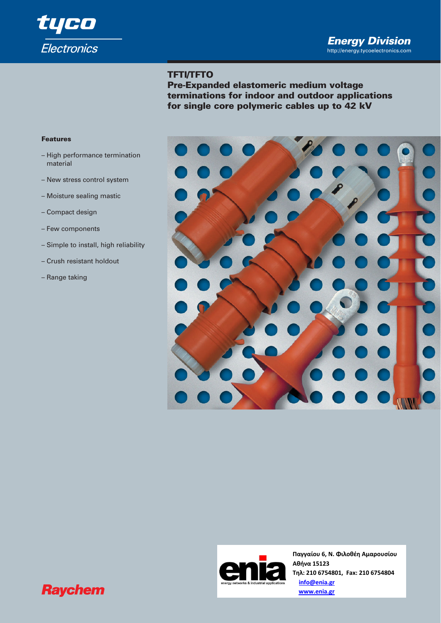

# **TFTI/TFTO**

**Pre-Expanded elastomeric medium voltage terminations for indoor and outdoor applications for single core polymeric cables up to 42 kV** 

## **Features**

- High performance termination material
- New stress control system
- Moisture sealing mastic
- Compact design
- Few components
- Simple to install, high reliability
- Crush resistant holdout
- Range taking





**Παγγαίου 6, Ν. Φιλοθέη Αμαρουσίου Αθήνα 15123 Τηλ: 210 6754801, Fax: 210 6754804 info@enia.gr www.enia.gr**

# **Raychem**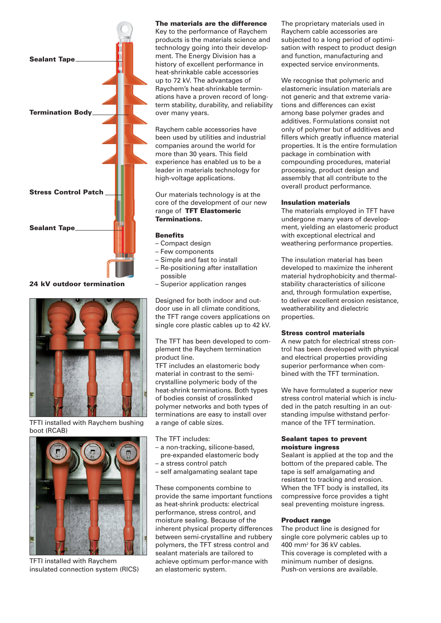

**24 kV outdoor termination**



TFTI installed with Raychem bushing boot (RCAB)



TFTI installed with Raychem insulated connection system (RICS)

#### **The materials are the difference**

Key to the performance of Raychem products is the materials science and technology going into their development. The Energy Division has a history of excellent performance in heat-shrinkable cable accessories up to 72 kV. The advantages of Raychem's heat-shrinkable terminations have a proven record of longterm stability, durability, and reliability over many years.

Raychem cable accessories have been used by utilities and industrial companies around the world for more than 30 years. This field experience has enabled us to be a leader in materials technology for high-voltage applications.

Our materials technology is at the core of the development of our new range of **TFT Elastomeric Terminations.**

#### **Benefits**

- Compact design
- Few components
- Simple and fast to install
- Re-positioning after installation possible
- Superior application ranges

Designed for both indoor and outdoor use in all climate conditions, the TFT range covers applications on single core plastic cables up to 42 kV.

The TFT has been developed to complement the Raychem termination product line.

TFT includes an elastomeric body material in contrast to the semicrystalline polymeric body of the heat-shrink terminations. Both types of bodies consist of crosslinked polymer networks and both types of terminations are easy to install over a range of cable sizes.

The TFT includes:

- a non-tracking, silicone-based,
- pre-expanded elastomeric body
- a stress control patch
- self amalgamating sealant tape

These components combine to provide the same important functions as heat-shrink products: electrical performance, stress control, and moisture sealing. Because of the inherent physical property differences between semi-crystalline and rubbery polymers, the TFT stress control and sealant materials are tailored to achieve optimum perfor-mance with an elastomeric system.

The proprietary materials used in Raychem cable accessories are subjected to a long period of optimisation with respect to product design and function, manufacturing and expected service environments.

We recognise that polymeric and elastomeric insulation materials are not generic and that extreme variations and differences can exist among base polymer grades and additives. Formulations consist not only of polymer but of additives and fillers which greatly influence material properties. It is the entire formulation package in combination with compounding procedures, material processing, product design and assembly that all contribute to the overall product performance.

#### **Insulation materials**

The materials employed in TFT have undergone many years of development, yielding an elastomeric product with exceptional electrical and weathering performance properties.

The insulation material has been developed to maximize the inherent material hydrophobicity and thermalstability characteristics of silicone and, through formulation expertise, to deliver excellent erosion resistance, weatherability and dielectric properties.

#### **Stress control materials**

A new patch for electrical stress control has been developed with physical and electrical properties providing superior performance when combined with the TFT termination.

We have formulated a superior new stress control material which is included in the patch resulting in an outstanding impulse withstand performance of the TFT termination.

### **Sealant tapes to prevent moisture ingress**

Sealant is applied at the top and the bottom of the prepared cable. The tape is self amalgamating and resistant to tracking and erosion. When the TFT body is installed, its compressive force provides a tight seal preventing moisture ingress.

#### **Product range**

The product line is designed for single core polymeric cables up to 400 mm2 for 36 kV cables. This coverage is completed with a minimum number of designs. Push-on versions are available.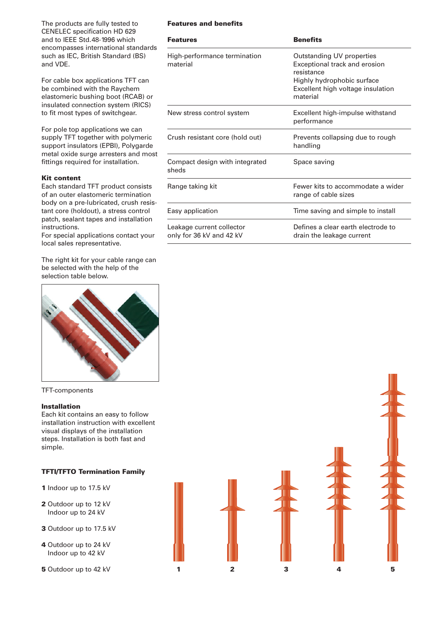The products are fully tested to CENELEC specification HD 629 and to IEEE Std.48-1996 which encompasses international standards such as IEC, British Standard (BS) and VDE.

For cable box applications TFT can be combined with the Raychem elastomeric bushing boot (RCAB) or insulated connection system (RICS) to fit most types of switchgear.

For pole top applications we can supply TFT together with polymeric support insulators (EPBI), Polygarde metal oxide surge arresters and most fittings required for installation.

## **Kit content**

Each standard TFT product consists of an outer elastomeric termination body on a pre-lubricated, crush resistant core (holdout), a stress control patch, sealant tapes and installation instructions.

For special applications contact your local sales representative.

The right kit for your cable range can be selected with the help of the selection table below.



#### TFT-components

# **Installation**

Each kit contains an easy to follow installation instruction with excellent visual displays of the installation steps. Installation is both fast and simple.

## **TFTI/TFTO Termination Family**

- **1** Indoor up to 17.5 kV
- **2** Outdoor up to 12 kV Indoor up to 24 kV
- **3** Outdoor up to 17.5 kV
- **4** Outdoor up to 24 kV Indoor up to 42 kV
- 

# **Features and benefits**

| <b>Features</b>                                       | <b>Benefits</b>                                                                                                                                         |  |  |
|-------------------------------------------------------|---------------------------------------------------------------------------------------------------------------------------------------------------------|--|--|
| High-performance termination<br>material              | Outstanding UV properties<br>Exceptional track and erosion<br>resistance<br>Highly hydrophobic surface<br>Excellent high voltage insulation<br>material |  |  |
| New stress control system                             | Excellent high-impulse withstand<br>performance                                                                                                         |  |  |
| Crush resistant core (hold out)                       | Prevents collapsing due to rough<br>handling                                                                                                            |  |  |
| Compact design with integrated<br>sheds               | Space saving                                                                                                                                            |  |  |
| Range taking kit                                      | Fewer kits to accommodate a wider<br>range of cable sizes                                                                                               |  |  |
| Easy application                                      | Time saving and simple to install                                                                                                                       |  |  |
| Leakage current collector<br>only for 36 kV and 42 kV | Defines a clear earth electrode to<br>drain the leakage current                                                                                         |  |  |